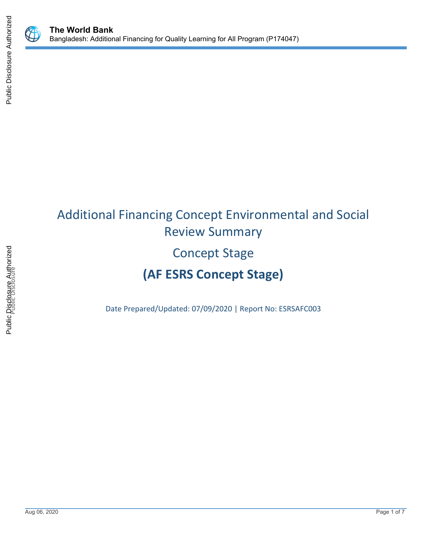



# Additional Financing Concept Environmental and Social Review Summary Concept Stage **(AF ESRS Concept Stage)**

Date Prepared/Updated: 07/09/2020 | Report No: ESRSAFC003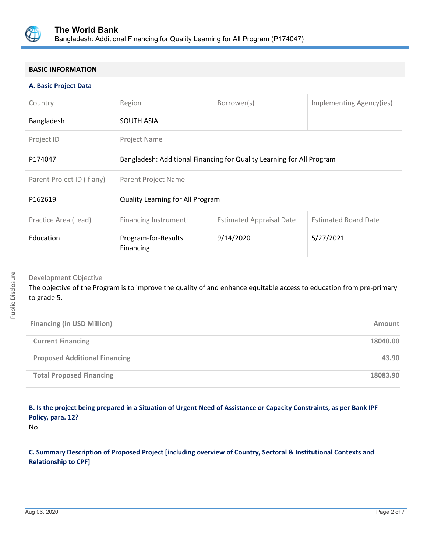

## **BASIC INFORMATION**

#### **A. Basic Project Data**

| Country                    | Region                                                                | Borrower(s)                     | Implementing Agency(ies)    |  |
|----------------------------|-----------------------------------------------------------------------|---------------------------------|-----------------------------|--|
| Bangladesh                 | <b>SOUTH ASIA</b>                                                     |                                 |                             |  |
| Project ID                 | Project Name                                                          |                                 |                             |  |
| P174047                    | Bangladesh: Additional Financing for Quality Learning for All Program |                                 |                             |  |
| Parent Project ID (if any) | Parent Project Name                                                   |                                 |                             |  |
| P162619                    | Quality Learning for All Program                                      |                                 |                             |  |
| Practice Area (Lead)       | <b>Financing Instrument</b>                                           | <b>Estimated Appraisal Date</b> | <b>Estimated Board Date</b> |  |
| Education                  | Program-for-Results<br>Financing                                      | 9/14/2020                       | 5/27/2021                   |  |

Development Objective

The objective of the Program is to improve the quality of and enhance equitable access to education from pre-primary to grade 5.

| <b>Financing (in USD Million)</b>    | Amount   |
|--------------------------------------|----------|
| <b>Current Financing</b>             | 18040.00 |
| <b>Proposed Additional Financing</b> | 43.90    |
| <b>Total Proposed Financing</b>      | 18083.90 |

# **B. Is the project being prepared in a Situation of Urgent Need of Assistance or Capacity Constraints, as per Bank IPF Policy, para. 12?**

No

**C. Summary Description of Proposed Project [including overview of Country, Sectoral & Institutional Contexts and Relationship to CPF]**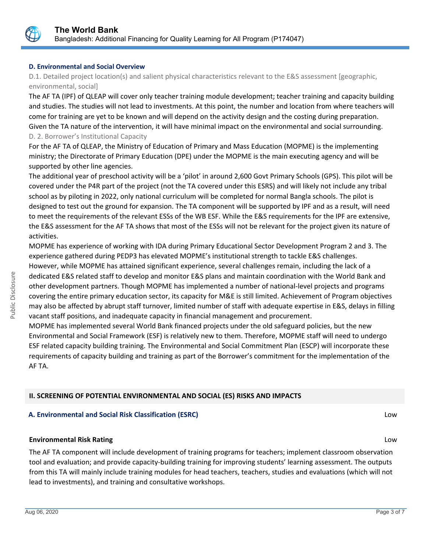

## **D. Environmental and Social Overview**

D.1. Detailed project location(s) and salient physical characteristics relevant to the E&S assessment [geographic, environmental, social]

The AF TA (IPF) of QLEAP will cover only teacher training module development; teacher training and capacity building and studies. The studies will not lead to investments. At this point, the number and location from where teachers will come for training are yet to be known and will depend on the activity design and the costing during preparation. Given the TA nature of the intervention, it will have minimal impact on the environmental and social surrounding. D. 2. Borrower's Institutional Capacity

For the AF TA of QLEAP, the Ministry of Education of Primary and Mass Education (MOPME) is the implementing ministry; the Directorate of Primary Education (DPE) under the MOPME is the main executing agency and will be supported by other line agencies.

The additional year of preschool activity will be a 'pilot' in around 2,600 Govt Primary Schools (GPS). This pilot will be covered under the P4R part of the project (not the TA covered under this ESRS) and will likely not include any tribal school as by piloting in 2022, only national curriculum will be completed for normal Bangla schools. The pilot is designed to test out the ground for expansion. The TA component will be supported by IPF and as a result, will need to meet the requirements of the relevant ESSs of the WB ESF. While the E&S requirements for the IPF are extensive, the E&S assessment for the AF TA shows that most of the ESSs will not be relevant for the project given its nature of activities.

MOPME has experience of working with IDA during Primary Educational Sector Development Program 2 and 3. The experience gathered during PEDP3 has elevated MOPME's institutional strength to tackle E&S challenges. However, while MOPME has attained significant experience, several challenges remain, including the lack of a dedicated E&S related staff to develop and monitor E&S plans and maintain coordination with the World Bank and other development partners. Though MOPME has implemented a number of national-level projects and programs covering the entire primary education sector, its capacity for M&E is still limited. Achievement of Program objectives may also be affected by abrupt staff turnover, limited number of staff with adequate expertise in E&S, delays in filling vacant staff positions, and inadequate capacity in financial management and procurement.

MOPME has implemented several World Bank financed projects under the old safeguard policies, but the new Environmental and Social Framework (ESF) is relatively new to them. Therefore, MOPME staff will need to undergo ESF related capacity building training. The Environmental and Social Commitment Plan (ESCP) will incorporate these requirements of capacity building and training as part of the Borrower's commitment for the implementation of the AF TA.

## **II. SCREENING OF POTENTIAL ENVIRONMENTAL AND SOCIAL (ES) RISKS AND IMPACTS**

## **A. Environmental and Social Risk Classification (ESRC)** Low

## **Environmental Risk Rating** Low

The AF TA component will include development of training programs for teachers; implement classroom observation tool and evaluation; and provide capacity-building training for improving students' learning assessment. The outputs from this TA will mainly include training modules for head teachers, teachers, studies and evaluations (which will not lead to investments), and training and consultative workshops.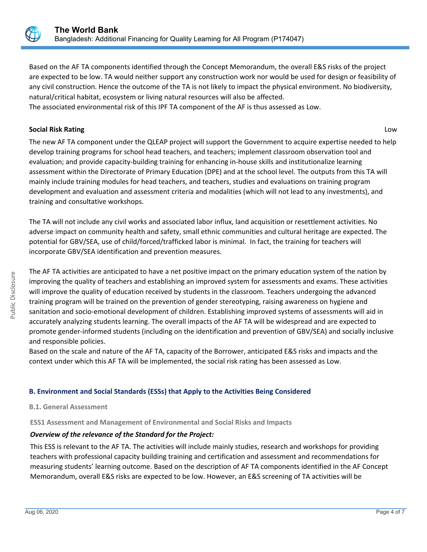

Based on the AF TA components identified through the Concept Memorandum, the overall E&S risks of the project are expected to be low. TA would neither support any construction work nor would be used for design or feasibility of any civil construction. Hence the outcome of the TA is not likely to impact the physical environment. No biodiversity, natural/critical habitat, ecosystem or living natural resources will also be affected.

The associated environmental risk of this IPF TA component of the AF is thus assessed as Low.

## **Social Risk Rating** Low

The new AF TA component under the QLEAP project will support the Government to acquire expertise needed to help develop training programs for school head teachers, and teachers; implement classroom observation tool and evaluation; and provide capacity-building training for enhancing in-house skills and institutionalize learning assessment within the Directorate of Primary Education (DPE) and at the school level. The outputs from this TA will mainly include training modules for head teachers, and teachers, studies and evaluations on training program development and evaluation and assessment criteria and modalities (which will not lead to any investments), and training and consultative workshops.

The TA will not include any civil works and associated labor influx, land acquisition or resettlement activities. No adverse impact on community health and safety, small ethnic communities and cultural heritage are expected. The potential for GBV/SEA, use of child/forced/trafficked labor is minimal. In fact, the training for teachers will incorporate GBV/SEA identification and prevention measures.

The AF TA activities are anticipated to have a net positive impact on the primary education system of the nation by improving the quality of teachers and establishing an improved system for assessments and exams. These activities will improve the quality of education received by students in the classroom. Teachers undergoing the advanced training program will be trained on the prevention of gender stereotyping, raising awareness on hygiene and sanitation and socio-emotional development of children. Establishing improved systems of assessments will aid in accurately analyzing students learning. The overall impacts of the AF TA will be widespread and are expected to promote gender-informed students (including on the identification and prevention of GBV/SEA) and socially inclusive and responsible policies.

Based on the scale and nature of the AF TA, capacity of the Borrower, anticipated E&S risks and impacts and the context under which this AF TA will be implemented, the social risk rating has been assessed as Low.

## **B. Environment and Social Standards (ESSs) that Apply to the Activities Being Considered**

## **B.1. General Assessment**

**ESS1 Assessment and Management of Environmental and Social Risks and Impacts**

## *Overview of the relevance of the Standard for the Project:*

This ESS is relevant to the AF TA. The activities will include mainly studies, research and workshops for providing teachers with professional capacity building training and certification and assessment and recommendations for measuring students' learning outcome. Based on the description of AF TA components identified in the AF Concept Memorandum, overall E&S risks are expected to be low. However, an E&S screening of TA activities will be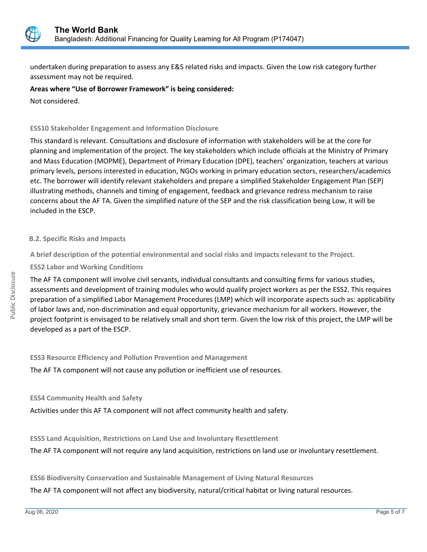

undertaken during preparation to assess any E&S related risks and impacts. Given the Low risk category further assessment may not be required.

## **Areas where "Use of Borrower Framework" is being considered:**

Not considered.

## **ESS10 Stakeholder Engagement and Information Disclosure**

This standard is relevant. Consultations and disclosure of information with stakeholders will be at the core for planning and implementation of the project. The key stakeholders which include officials at the Ministry of Primary and Mass Education (MOPME), Department of Primary Education (DPE), teachers' organization, teachers at various primary levels, persons interested in education, NGOs working in primary education sectors, researchers/academics etc. The borrower will identify relevant stakeholders and prepare a simplified Stakeholder Engagement Plan (SEP) illustrating methods, channels and timing of engagement, feedback and grievance redress mechanism to raise concerns about the AF TA. Given the simplified nature of the SEP and the risk classification being Low, it will be included in the ESCP.

## **B.2. Specific Risks and Impacts**

**A brief description of the potential environmental and social risks and impacts relevant to the Project.**

**ESS2 Labor and Working Conditions**

The AF TA component will involve civil servants, individual consultants and consulting firms for various studies, assessments and development of training modules who would qualify project workers as per the ESS2. This requires preparation of a simplified Labor Management Procedures (LMP) which will incorporate aspects such as: applicability of labor laws and, non-discrimination and equal opportunity, grievance mechanism for all workers. However, the project footprint is envisaged to be relatively small and short term. Given the low risk of this project, the LMP will be developed as a part of the ESCP.

**ESS3 Resource Efficiency and Pollution Prevention and Management**

The AF TA component will not cause any pollution or inefficient use of resources.

## **ESS4 Community Health and Safety**

Activities under this AF TA component will not affect community health and safety.

**ESS5 Land Acquisition, Restrictions on Land Use and Involuntary Resettlement**

The AF TA component will not require any land acquisition, restrictions on land use or involuntary resettlement.

**ESS6 Biodiversity Conservation and Sustainable Management of Living Natural Resources**

The AF TA component will not affect any biodiversity, natural/critical habitat or living natural resources.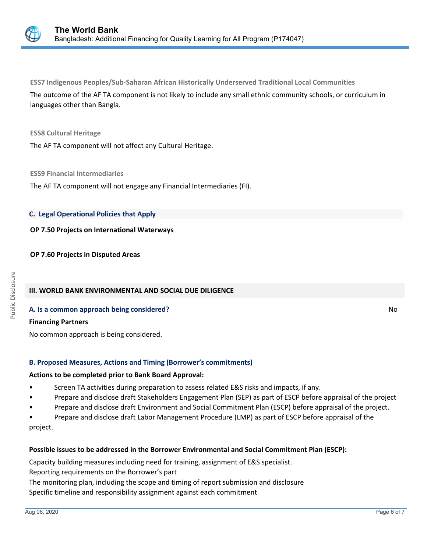

**ESS7 Indigenous Peoples/Sub-Saharan African Historically Underserved Traditional Local Communities** The outcome of the AF TA component is not likely to include any small ethnic community schools, or curriculum in languages other than Bangla.

#### **ESS8 Cultural Heritage**

The AF TA component will not affect any Cultural Heritage.

#### **ESS9 Financial Intermediaries**

The AF TA component will not engage any Financial Intermediaries (FI).

#### **C. Legal Operational Policies that Apply**

#### **OP 7.50 Projects on International Waterways**

#### **OP 7.60 Projects in Disputed Areas**

## **III. WORLD BANK ENVIRONMENTAL AND SOCIAL DUE DILIGENCE**

#### **A. Is a common approach being considered?** No **Research 2008** No **Research 2008** No **No**

#### **Financing Partners**

No common approach is being considered.

## **B. Proposed Measures, Actions and Timing (Borrower's commitments)**

#### **Actions to be completed prior to Bank Board Approval:**

- Screen TA activities during preparation to assess related E&S risks and impacts, if any.
- Prepare and disclose draft Stakeholders Engagement Plan (SEP) as part of ESCP before appraisal of the project
- Prepare and disclose draft Environment and Social Commitment Plan (ESCP) before appraisal of the project.
- Prepare and disclose draft Labor Management Procedure (LMP) as part of ESCP before appraisal of the project.

## **Possible issues to be addressed in the Borrower Environmental and Social Commitment Plan (ESCP):**

Capacity building measures including need for training, assignment of E&S specialist. Reporting requirements on the Borrower's part

The monitoring plan, including the scope and timing of report submission and disclosure

Specific timeline and responsibility assignment against each commitment